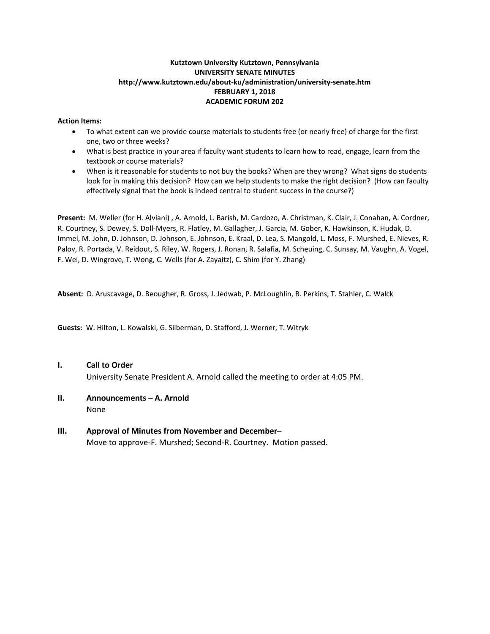#### **Kutztown University Kutztown, Pennsylvania UNIVERSITY SENATE MINUTES http://www.kutztown.edu/about-ku/administration/university-senate.htm FEBRUARY 1, 2018 ACADEMIC FORUM 202**

#### **Action Items:**

- To what extent can we provide course materials to students free (or nearly free) of charge for the first one, two or three weeks?
- What is best practice in your area if faculty want students to learn how to read, engage, learn from the textbook or course materials?
- When is it reasonable for students to not buy the books? When are they wrong? What signs do students look for in making this decision? How can we help students to make the right decision? (How can faculty effectively signal that the book is indeed central to student success in the course?)

**Present:** M. Weller (for H. Alviani) , A. Arnold, L. Barish, M. Cardozo, A. Christman, K. Clair, J. Conahan, A. Cordner, R. Courtney, S. Dewey, S. Doll-Myers, R. Flatley, M. Gallagher, J. Garcia, M. Gober, K. Hawkinson, K. Hudak, D. Immel, M. John, D. Johnson, D. Johnson, E. Johnson, E. Kraal, D. Lea, S. Mangold, L. Moss, F. Murshed, E. Nieves, R. Palov, R. Portada, V. Reidout, S. Riley, W. Rogers, J. Ronan, R. Salafia, M. Scheuing, C. Sunsay, M. Vaughn, A. Vogel, F. Wei, D. Wingrove, T. Wong, C. Wells (for A. Zayaitz), C. Shim (for Y. Zhang)

**Absent:** D. Aruscavage, D. Beougher, R. Gross, J. Jedwab, P. McLoughlin, R. Perkins, T. Stahler, C. Walck

**Guests:** W. Hilton, L. Kowalski, G. Silberman, D. Stafford, J. Werner, T. Witryk

**I. Call to Order**

University Senate President A. Arnold called the meeting to order at 4:05 PM.

- **II. Announcements – A. Arnold** None
- **III. Approval of Minutes from November and December–** Move to approve-F. Murshed; Second-R. Courtney. Motion passed.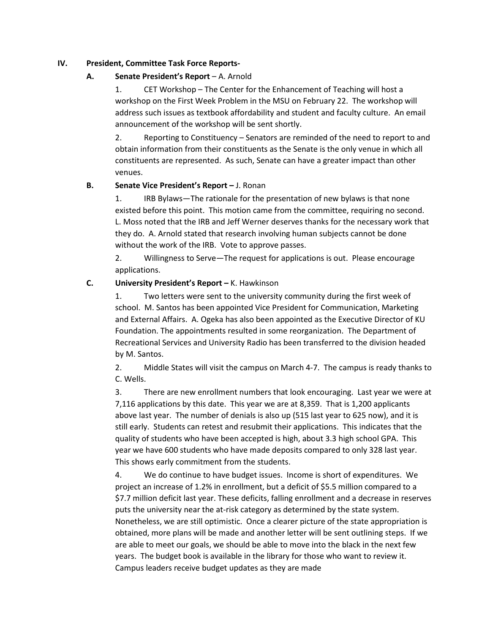### **IV. President, Committee Task Force Reports-**

## **A. Senate President's Report** – A. Arnold

1. CET Workshop – The Center for the Enhancement of Teaching will host a workshop on the First Week Problem in the MSU on February 22. The workshop will address such issues as textbook affordability and student and faculty culture. An email announcement of the workshop will be sent shortly.

2. Reporting to Constituency – Senators are reminded of the need to report to and obtain information from their constituents as the Senate is the only venue in which all constituents are represented. As such, Senate can have a greater impact than other venues.

## **B. Senate Vice President's Report –** J. Ronan

1. IRB Bylaws—The rationale for the presentation of new bylaws is that none existed before this point. This motion came from the committee, requiring no second. L. Moss noted that the IRB and Jeff Werner deserves thanks for the necessary work that they do. A. Arnold stated that research involving human subjects cannot be done without the work of the IRB. Vote to approve passes.

2. Willingness to Serve—The request for applications is out. Please encourage applications.

## **C. University President's Report –** K. Hawkinson

1. Two letters were sent to the university community during the first week of school. M. Santos has been appointed Vice President for Communication, Marketing and External Affairs. A. Ogeka has also been appointed as the Executive Director of KU Foundation. The appointments resulted in some reorganization. The Department of Recreational Services and University Radio has been transferred to the division headed by M. Santos.

2. Middle States will visit the campus on March 4-7. The campus is ready thanks to C. Wells.

3. There are new enrollment numbers that look encouraging. Last year we were at 7,116 applications by this date. This year we are at 8,359. That is 1,200 applicants above last year. The number of denials is also up (515 last year to 625 now), and it is still early. Students can retest and resubmit their applications. This indicates that the quality of students who have been accepted is high, about 3.3 high school GPA. This year we have 600 students who have made deposits compared to only 328 last year. This shows early commitment from the students.

4. We do continue to have budget issues. Income is short of expenditures. We project an increase of 1.2% in enrollment, but a deficit of \$5.5 million compared to a \$7.7 million deficit last year. These deficits, falling enrollment and a decrease in reserves puts the university near the at-risk category as determined by the state system. Nonetheless, we are still optimistic. Once a clearer picture of the state appropriation is obtained, more plans will be made and another letter will be sent outlining steps. If we are able to meet our goals, we should be able to move into the black in the next few years. The budget book is available in the library for those who want to review it. Campus leaders receive budget updates as they are made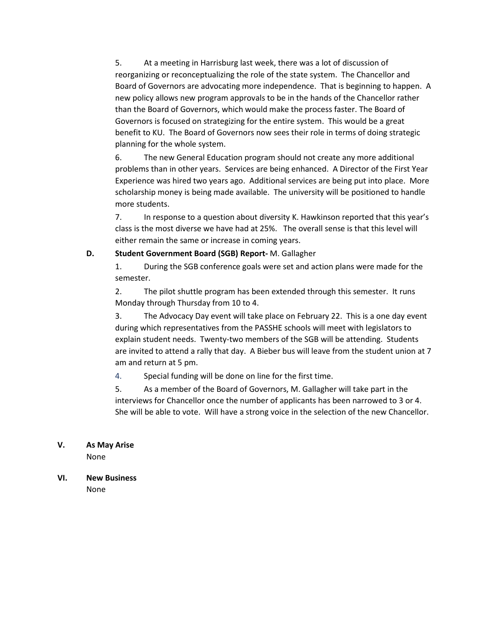5. At a meeting in Harrisburg last week, there was a lot of discussion of reorganizing or reconceptualizing the role of the state system. The Chancellor and Board of Governors are advocating more independence. That is beginning to happen. A new policy allows new program approvals to be in the hands of the Chancellor rather than the Board of Governors, which would make the process faster. The Board of Governors is focused on strategizing for the entire system. This would be a great benefit to KU. The Board of Governors now sees their role in terms of doing strategic planning for the whole system.

6. The new General Education program should not create any more additional problems than in other years. Services are being enhanced. A Director of the First Year Experience was hired two years ago. Additional services are being put into place. More scholarship money is being made available. The university will be positioned to handle more students.

7. In response to a question about diversity K. Hawkinson reported that this year's class is the most diverse we have had at 25%. The overall sense is that this level will either remain the same or increase in coming years.

## **D. Student Government Board (SGB) Report-** M. Gallagher

1. During the SGB conference goals were set and action plans were made for the semester.

2. The pilot shuttle program has been extended through this semester. It runs Monday through Thursday from 10 to 4.

3. The Advocacy Day event will take place on February 22. This is a one day event during which representatives from the PASSHE schools will meet with legislators to explain student needs. Twenty-two members of the SGB will be attending. Students are invited to attend a rally that day. A Bieber bus will leave from the student union at 7 am and return at 5 pm.

4. Special funding will be done on line for the first time.

5. As a member of the Board of Governors, M. Gallagher will take part in the interviews for Chancellor once the number of applicants has been narrowed to 3 or 4. She will be able to vote. Will have a strong voice in the selection of the new Chancellor.

## **V. As May Arise**

None

#### **VI. New Business** None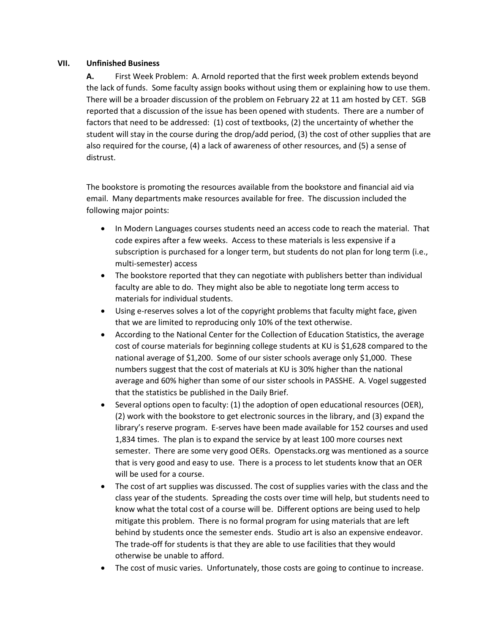#### **VII. Unfinished Business**

**A.** First Week Problem: A. Arnold reported that the first week problem extends beyond the lack of funds. Some faculty assign books without using them or explaining how to use them. There will be a broader discussion of the problem on February 22 at 11 am hosted by CET. SGB reported that a discussion of the issue has been opened with students. There are a number of factors that need to be addressed: (1) cost of textbooks, (2) the uncertainty of whether the student will stay in the course during the drop/add period, (3) the cost of other supplies that are also required for the course, (4) a lack of awareness of other resources, and (5) a sense of distrust.

The bookstore is promoting the resources available from the bookstore and financial aid via email. Many departments make resources available for free. The discussion included the following major points:

- In Modern Languages courses students need an access code to reach the material. That code expires after a few weeks. Access to these materials is less expensive if a subscription is purchased for a longer term, but students do not plan for long term (i.e., multi-semester) access
- The bookstore reported that they can negotiate with publishers better than individual faculty are able to do. They might also be able to negotiate long term access to materials for individual students.
- Using e-reserves solves a lot of the copyright problems that faculty might face, given that we are limited to reproducing only 10% of the text otherwise.
- According to the National Center for the Collection of Education Statistics, the average cost of course materials for beginning college students at KU is \$1,628 compared to the national average of \$1,200. Some of our sister schools average only \$1,000. These numbers suggest that the cost of materials at KU is 30% higher than the national average and 60% higher than some of our sister schools in PASSHE. A. Vogel suggested that the statistics be published in the Daily Brief.
- Several options open to faculty: (1) the adoption of open educational resources (OER), (2) work with the bookstore to get electronic sources in the library, and (3) expand the library's reserve program. E-serves have been made available for 152 courses and used 1,834 times. The plan is to expand the service by at least 100 more courses next semester. There are some very good OERs. Openstacks.org was mentioned as a source that is very good and easy to use. There is a process to let students know that an OER will be used for a course.
- The cost of art supplies was discussed. The cost of supplies varies with the class and the class year of the students. Spreading the costs over time will help, but students need to know what the total cost of a course will be. Different options are being used to help mitigate this problem. There is no formal program for using materials that are left behind by students once the semester ends. Studio art is also an expensive endeavor. The trade-off for students is that they are able to use facilities that they would otherwise be unable to afford.
- The cost of music varies. Unfortunately, those costs are going to continue to increase.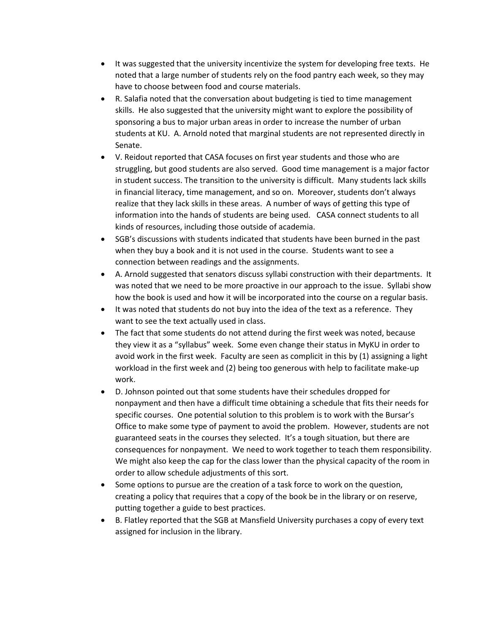- It was suggested that the university incentivize the system for developing free texts. He noted that a large number of students rely on the food pantry each week, so they may have to choose between food and course materials.
- R. Salafia noted that the conversation about budgeting is tied to time management skills. He also suggested that the university might want to explore the possibility of sponsoring a bus to major urban areas in order to increase the number of urban students at KU. A. Arnold noted that marginal students are not represented directly in Senate.
- V. Reidout reported that CASA focuses on first year students and those who are struggling, but good students are also served. Good time management is a major factor in student success. The transition to the university is difficult. Many students lack skills in financial literacy, time management, and so on. Moreover, students don't always realize that they lack skills in these areas. A number of ways of getting this type of information into the hands of students are being used. CASA connect students to all kinds of resources, including those outside of academia.
- SGB's discussions with students indicated that students have been burned in the past when they buy a book and it is not used in the course. Students want to see a connection between readings and the assignments.
- A. Arnold suggested that senators discuss syllabi construction with their departments. It was noted that we need to be more proactive in our approach to the issue. Syllabi show how the book is used and how it will be incorporated into the course on a regular basis.
- It was noted that students do not buy into the idea of the text as a reference. They want to see the text actually used in class.
- The fact that some students do not attend during the first week was noted, because they view it as a "syllabus" week. Some even change their status in MyKU in order to avoid work in the first week. Faculty are seen as complicit in this by (1) assigning a light workload in the first week and (2) being too generous with help to facilitate make-up work.
- D. Johnson pointed out that some students have their schedules dropped for nonpayment and then have a difficult time obtaining a schedule that fits their needs for specific courses. One potential solution to this problem is to work with the Bursar's Office to make some type of payment to avoid the problem. However, students are not guaranteed seats in the courses they selected. It's a tough situation, but there are consequences for nonpayment. We need to work together to teach them responsibility. We might also keep the cap for the class lower than the physical capacity of the room in order to allow schedule adjustments of this sort.
- Some options to pursue are the creation of a task force to work on the question, creating a policy that requires that a copy of the book be in the library or on reserve, putting together a guide to best practices.
- B. Flatley reported that the SGB at Mansfield University purchases a copy of every text assigned for inclusion in the library.